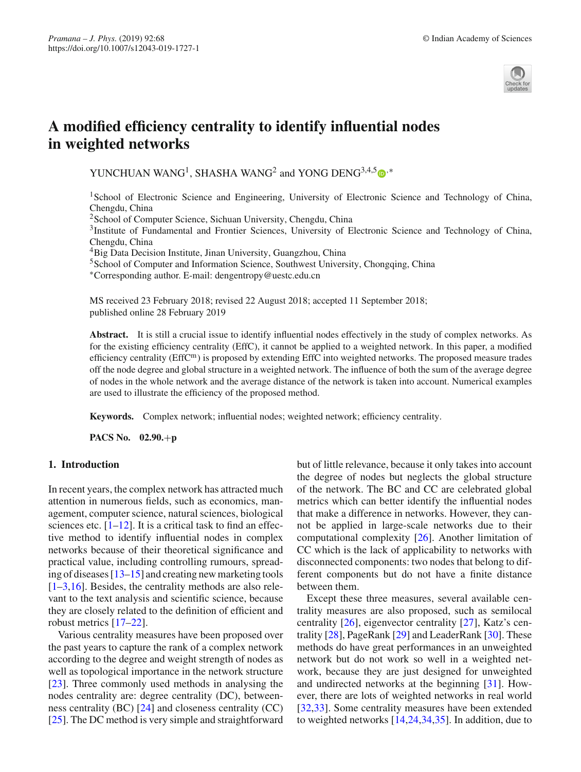

# **A modified efficiency centrality to identify influential nodes in weighted networks**

YUNCHUAN WANG<sup>1</sup>, SHASHA WANG<sup>2</sup> and YONG DENG<sup>3,4,[5](http://orcid.org/0000-0001-9286-2123)</sup>  $\bullet$ <sup>\*</sup>

<sup>1</sup>School of Electronic Science and Engineering, University of Electronic Science and Technology of China, Chengdu, China

<sup>2</sup>School of Computer Science, Sichuan University, Chengdu, China

3Institute of Fundamental and Frontier Sciences, University of Electronic Science and Technology of China, Chengdu, China

<sup>4</sup>Big Data Decision Institute, Jinan University, Guangzhou, China

<sup>5</sup>School of Computer and Information Science, Southwest University, Chongqing, China

∗Corresponding author. E-mail: dengentropy@uestc.edu.cn

MS received 23 February 2018; revised 22 August 2018; accepted 11 September 2018; published online 28 February 2019

**Abstract.** It is still a crucial issue to identify influential nodes effectively in the study of complex networks. As for the existing efficiency centrality (EffC), it cannot be applied to a weighted network. In this paper, a modified efficiency centrality (EffCm) is proposed by extending EffC into weighted networks. The proposed measure trades off the node degree and global structure in a weighted network. The influence of both the sum of the average degree of nodes in the whole network and the average distance of the network is taken into account. Numerical examples are used to illustrate the efficiency of the proposed method.

**Keywords.** Complex network; influential nodes; weighted network; efficiency centrality.

**PACS No. 02.90.**+**p**

## **1. Introduction**

In recent years, the complex network has attracted much attention in numerous fields, such as economics, management, computer science, natural sciences, biological sciences etc.  $[1-12]$  $[1-12]$ . It is a critical task to find an effective method to identify influential nodes in complex networks because of their theoretical significance and practical value, including controlling rumours, spreading of diseases [\[13](#page-10-0)[–15](#page-10-1)] and creating new marketing tools  $[1-3,16]$  $[1-3,16]$  $[1-3,16]$  $[1-3,16]$ . Besides, the centrality methods are also relevant to the text analysis and scientific science, because they are closely related to the definition of efficient and robust metrics [\[17](#page-10-3)[–22](#page-10-4)].

Various centrality measures have been proposed over the past years to capture the rank of a complex network according to the degree and weight strength of nodes as well as topological importance in the network structure [\[23](#page-10-5)]. Three commonly used methods in analysing the nodes centrality are: degree centrality (DC), betweenness centrality (BC) [\[24\]](#page-10-6) and closeness centrality (CC) [\[25](#page-10-7)]. The DC method is very simple and straightforward but of little relevance, because it only takes into account the degree of nodes but neglects the global structure of the network. The BC and CC are celebrated global metrics which can better identify the influential nodes that make a difference in networks. However, they cannot be applied in large-scale networks due to their computational complexity [\[26](#page-10-8)]. Another limitation of CC which is the lack of applicability to networks with disconnected components: two nodes that belong to different components but do not have a finite distance between them.

Except these three measures, several available centrality measures are also proposed, such as semilocal centrality [\[26\]](#page-10-8), eigenvector centrality [\[27](#page-10-9)], Katz's centrality [\[28](#page-10-10)], PageRank [\[29\]](#page-10-11) and LeaderRank [\[30\]](#page-10-12). These methods do have great performances in an unweighted network but do not work so well in a weighted network, because they are just designed for unweighted and undirected networks at the beginning [\[31](#page-10-13)]. However, there are lots of weighted networks in real world [\[32](#page-10-14)[,33\]](#page-10-15). Some centrality measures have been extended to weighted networks [\[14](#page-10-16)[,24](#page-10-6)[,34](#page-10-17)[,35\]](#page-10-18). In addition, due to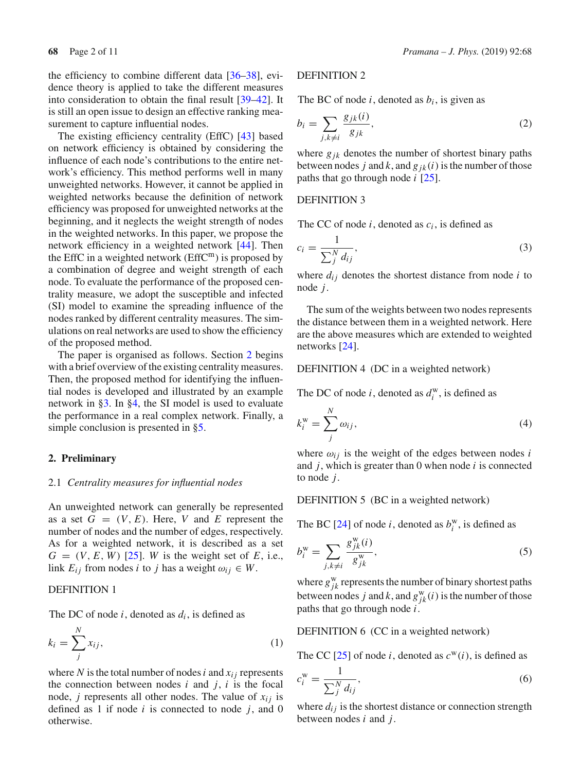the efficiency to combine different data [\[36](#page-10-19)[–38](#page-10-20)], evidence theory is applied to take the different measures into consideration to obtain the final result [\[39](#page-10-21)[–42\]](#page-10-22). It is still an open issue to design an effective ranking measurement to capture influential nodes.

The existing efficiency centrality (EffC) [\[43\]](#page-10-23) based on network efficiency is obtained by considering the influence of each node's contributions to the entire network's efficiency. This method performs well in many unweighted networks. However, it cannot be applied in weighted networks because the definition of network efficiency was proposed for unweighted networks at the beginning, and it neglects the weight strength of nodes in the weighted networks. In this paper, we propose the network efficiency in a weighted network [\[44](#page-10-24)]. Then the EffC in a weighted network ( $EffC<sup>m</sup>$ ) is proposed by a combination of degree and weight strength of each node. To evaluate the performance of the proposed centrality measure, we adopt the susceptible and infected (SI) model to examine the spreading influence of the nodes ranked by different centrality measures. The simulations on real networks are used to show the efficiency of the proposed method.

The paper is organised as follows. Section [2](#page-1-0) begins with a brief overview of the existing centrality measures. Then, the proposed method for identifying the influential nodes is developed and illustrated by an example network in [§3.](#page-2-0) In [§4,](#page-4-0) the SI model is used to evaluate the performance in a real complex network. Finally, a simple conclusion is presented in [§5.](#page-9-3)

## <span id="page-1-0"></span>**2. Preliminary**

#### 2.1 *Centrality measures for influential nodes*

An unweighted network can generally be represented as a set  $G = (V, E)$ . Here, *V* and *E* represent the number of nodes and the number of edges, respectively. As for a weighted network, it is described as a set  $G = (V, E, W)$  [\[25](#page-10-7)]. *W* is the weight set of *E*, i.e., link  $E_{ij}$  from nodes *i* to *j* has a weight  $\omega_{ij} \in W$ .

## DEFINITION 1

The DC of node  $i$ , denoted as  $d_i$ , is defined as

$$
k_i = \sum_{j}^{N} x_{ij},\tag{1}
$$

where N is the total number of nodes  $i$  and  $x_{ij}$  represents the connection between nodes  $i$  and  $j$ ,  $i$  is the focal node, *j* represents all other nodes. The value of  $x_{ij}$  is defined as 1 if node *i* is connected to node *j*, and 0 otherwise.

## DEFINITION 2

The BC of node  $i$ , denoted as  $b_i$ , is given as

$$
b_i = \sum_{j,k \neq i} \frac{g_{jk}(i)}{g_{jk}},\tag{2}
$$

where  $g_{jk}$  denotes the number of shortest binary paths between nodes *j* and *k*, and  $g_{ik}(i)$  is the number of those paths that go through node *i* [\[25\]](#page-10-7).

#### DEFINITION 3

The CC of node  $i$ , denoted as  $c_i$ , is defined as

$$
c_i = \frac{1}{\sum_{j}^{N} d_{ij}},\tag{3}
$$

where  $d_{ij}$  denotes the shortest distance from node  $i$  to node *j*.

The sum of the weights between two nodes represents the distance between them in a weighted network. Here are the above measures which are extended to weighted networks [\[24](#page-10-6)].

## DEFINITION 4 (DC in a weighted network)

The DC of node *i*, denoted as  $d_i^w$ , is defined as

<span id="page-1-1"></span>
$$
k_i^{\rm w} = \sum_j^N \omega_{ij},\tag{4}
$$

where  $\omega_{ij}$  is the weight of the edges between nodes *i* and *j*, which is greater than 0 when node *i* is connected to node *j*.

DEFINITION 5 (BC in a weighted network)

The BC [\[24](#page-10-6)] of node *i*, denoted as  $b_i^w$ , is defined as

$$
b_i^{\mathbf{w}} = \sum_{j,k \neq i} \frac{g_{jk}^{\mathbf{w}}(i)}{g_{jk}^{\mathbf{w}}},\tag{5}
$$

where  $g_{jk}^{\text{w}}$  represents the number of binary shortest paths between nodes *j* and *k*, and  $g_{jk}^w(i)$  is the number of those paths that go through node *i*.

DEFINITION 6 (CC in a weighted network)

The CC [\[25](#page-10-7)] of node *i*, denoted as  $c^w(i)$ , is defined as

<span id="page-1-2"></span>
$$
c_i^{\mathbf{w}} = \frac{1}{\sum_j^N d_{ij}},\tag{6}
$$

where  $d_{ij}$  is the shortest distance or connection strength between nodes *i* and *j*.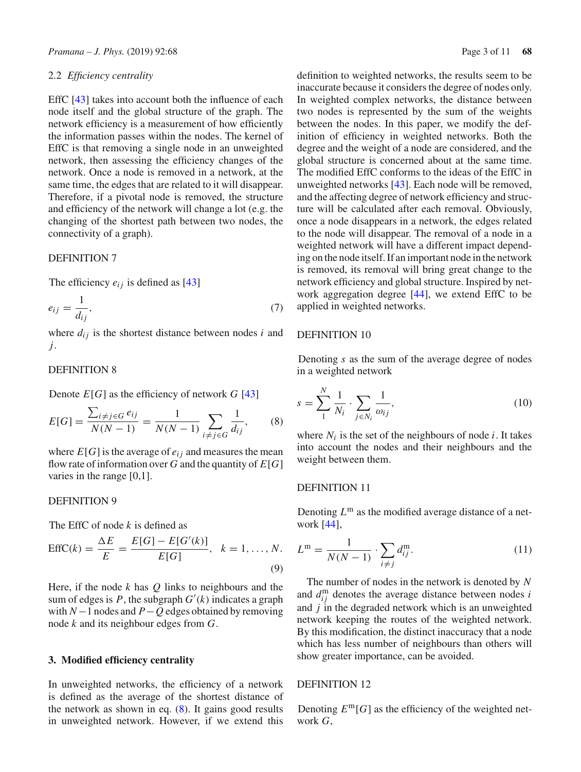#### 2.2 *Efficiency centrality*

EffC [\[43\]](#page-10-23) takes into account both the influence of each node itself and the global structure of the graph. The network efficiency is a measurement of how efficiently the information passes within the nodes. The kernel of EffC is that removing a single node in an unweighted network, then assessing the efficiency changes of the network. Once a node is removed in a network, at the same time, the edges that are related to it will disappear. Therefore, if a pivotal node is removed, the structure and efficiency of the network will change a lot (e.g. the changing of the shortest path between two nodes, the connectivity of a graph).

#### DEFINITION 7

The efficiency  $e_{ij}$  is defined as [\[43\]](#page-10-23)

$$
e_{ij} = \frac{1}{d_{ij}},\tag{7}
$$

where  $d_{ij}$  is the shortest distance between nodes  $i$  and *j*.

## DEFINITION 8

Denote  $E[G]$  as the efficiency of network  $G[43]$  $G[43]$  $G[43]$ 

<span id="page-2-1"></span>
$$
E[G] = \frac{\sum_{i \neq j \in G} e_{ij}}{N(N-1)} = \frac{1}{N(N-1)} \sum_{i \neq j \in G} \frac{1}{d_{ij}},
$$
 (8)

where  $E[G]$  is the average of  $e_{ij}$  and measures the mean flow rate of information over *G* and the quantity of *E*[*G*] varies in the range [0,1].

## DEFINITION 9

The EffC of node *k* is defined as

$$
EffC(k) = \frac{\Delta E}{E} = \frac{E[G] - E[G'(k)]}{E[G]}, \quad k = 1, ..., N.
$$
\n(9)

Here, if the node *k* has *Q* links to neighbours and the sum of edges is *P*, the subgraph *G* (*k*) indicates a graph with *N*−1 nodes and *P*−*Q* edges obtained by removing node *k* and its neighbour edges from *G*.

#### <span id="page-2-0"></span>**3. Modified efficiency centrality**

In unweighted networks, the efficiency of a network is defined as the average of the shortest distance of the network as shown in eq.  $(8)$ . It gains good results in unweighted network. However, if we extend this definition to weighted networks, the results seem to be inaccurate because it considers the degree of nodes only. In weighted complex networks, the distance between two nodes is represented by the sum of the weights between the nodes. In this paper, we modify the definition of efficiency in weighted networks. Both the degree and the weight of a node are considered, and the global structure is concerned about at the same time. The modified EffC conforms to the ideas of the EffC in unweighted networks [\[43](#page-10-23)]. Each node will be removed, and the affecting degree of network efficiency and structure will be calculated after each removal. Obviously, once a node disappears in a network, the edges related to the node will disappear. The removal of a node in a weighted network will have a different impact depending on the node itself. If an important node in the network is removed, its removal will bring great change to the network efficiency and global structure. Inspired by network aggregation degree [\[44](#page-10-24)], we extend EffC to be applied in weighted networks.

#### DEFINITION 10

Denoting *s* as the sum of the average degree of nodes in a weighted network

<span id="page-2-2"></span>
$$
s = \sum_{1}^{N} \frac{1}{N_i} \cdot \sum_{j \in N_i} \frac{1}{\omega_{ij}},
$$
\n(10)

where  $N_i$  is the set of the neighbours of node  $i$ . It takes into account the nodes and their neighbours and the weight between them.

## DEFINITION 11

Denoting  $L^m$  as the modified average distance of a network [\[44](#page-10-24)],

<span id="page-2-3"></span>
$$
L^{\mathbf{m}} = \frac{1}{N(N-1)} \cdot \sum_{i \neq j} d_{ij}^{\mathbf{m}}.
$$
 (11)

The number of nodes in the network is denoted by *N* and  $d_{ij}^{\text{m}}$  denotes the average distance between nodes *i* and *j* in the degraded network which is an unweighted network keeping the routes of the weighted network. By this modification, the distinct inaccuracy that a node which has less number of neighbours than others will show greater importance, can be avoided.

#### DEFINITION 12

Denoting  $E^m[G]$  as the efficiency of the weighted network *G*,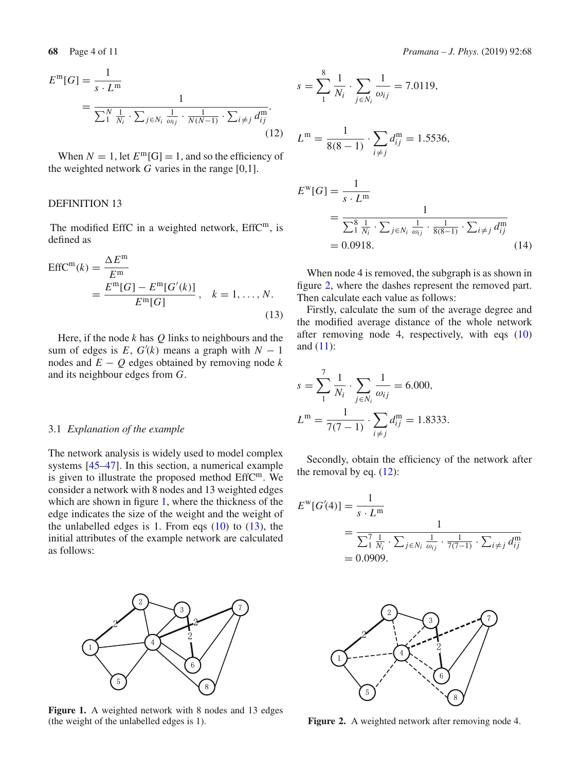<span id="page-3-3"></span>
$$
E^{\mathbf{m}}[G] = \frac{1}{s \cdot L^{\mathbf{m}}}
$$
  
= 
$$
\frac{1}{\sum_{1}^{N} \frac{1}{N_i} \cdot \sum_{j \in N_i} \frac{1}{\omega_{ij}} \cdot \frac{1}{N(N-1)} \cdot \sum_{i \neq j} d_{ij}^{\mathbf{m}}}.
$$
(12)

When  $N = 1$ , let  $E^m[G] = 1$ , and so the efficiency of the weighted network  $G$  varies in the range  $[0,1]$ .

#### DEFINITION 13

The modified EffC in a weighted network,  $EffC<sup>m</sup>$ , is defined as

<span id="page-3-1"></span>
$$
EffCm(k) = \frac{\Delta Em}{Em} = \frac{Em[G] - Em[G'(k)]}{Em[G]}, \quad k = 1, ..., N.
$$
\n(13)

Here, if the node *k* has *Q* links to neighbours and the sum of edges is  $E$ ,  $G'(k)$  means a graph with  $N-1$ nodes and  $E - Q$  edges obtained by removing node  $k$ and its neighbour edges from *G*.

#### 3.1 *Explanation of the example*

The network analysis is widely used to model complex systems [\[45](#page-10-25)[–47\]](#page-10-26). In this section, a numerical example is given to illustrate the proposed method EffCm. We consider a network with 8 nodes and 13 weighted edges which are shown in figure [1,](#page-3-0) where the thickness of the edge indicates the size of the weight and the weight of the unlabelled edges is 1. From eqs  $(10)$  to  $(13)$ , the initial attributes of the example network are calculated as follows:



<span id="page-3-0"></span>Figure 1. A weighted network with 8 nodes and 13 edges (the weight of the unlabelled edges is 1).

$$
s = \sum_{1}^{8} \frac{1}{N_i} \cdot \sum_{j \in N_i} \frac{1}{\omega_{ij}} = 7.0119,
$$
  
\n
$$
L^{m} = \frac{1}{8(8-1)} \cdot \sum_{i \neq j} d_{ij}^{m} = 1.5536,
$$
  
\n
$$
E^{w}[G] = \frac{1}{s \cdot L^{m}}
$$
  
\n
$$
= \frac{1}{\sum_{1}^{8} \frac{1}{N_i} \cdot \sum_{j \in N_i} \frac{1}{\omega_{ij}} \cdot \frac{1}{8(8-1)} \cdot \sum_{i \neq j} d_{ij}^{m}}
$$
  
\n= 0.0918. (14)

When node 4 is removed, the subgraph is as shown in figure [2,](#page-3-2) where the dashes represent the removed part. Then calculate each value as follows:

Firstly, calculate the sum of the average degree and the modified average distance of the whole network after removing node 4, respectively, with eqs [\(10\)](#page-2-2) and [\(11\)](#page-2-3):

$$
s = \sum_{1}^{7} \frac{1}{N_i} \cdot \sum_{j \in N_i} \frac{1}{\omega_{ij}} = 6.000,
$$
  

$$
L^{\mathbf{m}} = \frac{1}{7(7-1)} \cdot \sum_{i \neq j} d_{ij}^{\mathbf{m}} = 1.8333.
$$

Secondly, obtain the efficiency of the network after the removal by eq.  $(12)$ :

$$
E^{w}[G'(4)] = \frac{1}{s \cdot L^{m}}
$$
  
= 
$$
\frac{1}{\sum_{i=1}^{7} \frac{1}{N_{i}} \cdot \sum_{j \in N_{i}} \frac{1}{\omega_{ij}} \cdot \frac{1}{7(7-1)} \cdot \sum_{i \neq j} d_{ij}^{m}}
$$
  
= 0.0909.



<span id="page-3-2"></span>**Figure 2.** A weighted network after removing node 4.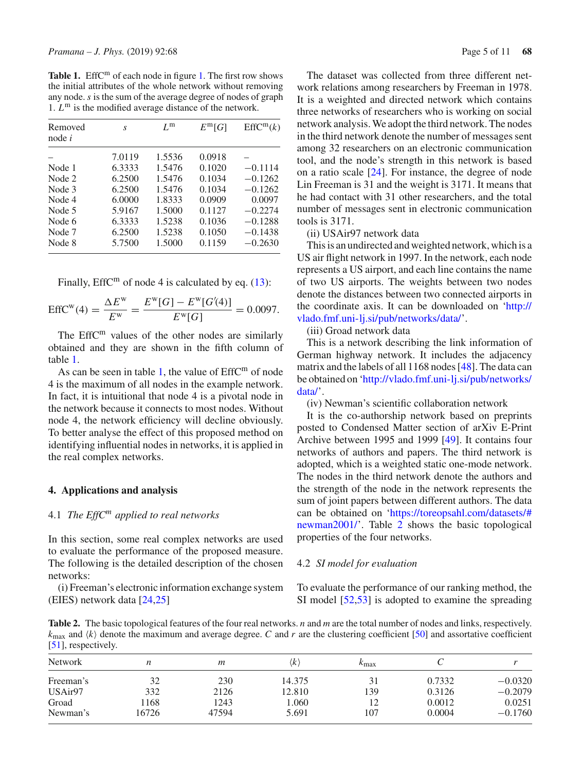<span id="page-4-1"></span>Table [1.](#page-3-0) EffC<sup>m</sup> of each node in figure 1. The first row shows the initial attributes of the whole network without removing any node.*s* is the sum of the average degree of nodes of graph 1.  $L^m$  is the modified average distance of the network.

| Removed<br>node $i$                                      | S                                                                  | $L^{\rm m}$                                                        | $E^m[G]$                                                           | EffC <sup>m</sup> (k)                                                   |
|----------------------------------------------------------|--------------------------------------------------------------------|--------------------------------------------------------------------|--------------------------------------------------------------------|-------------------------------------------------------------------------|
| Node 1<br>Node 2<br>Node 3<br>Node 4<br>Node 5<br>Node 6 | 7.0119<br>6.3333<br>6.2500<br>6.2500<br>6.0000<br>5.9167<br>6.3333 | 1.5536<br>1.5476<br>1.5476<br>1.5476<br>1.8333<br>1.5000<br>1.5238 | 0.0918<br>0.1020<br>0.1034<br>0.1034<br>0.0909<br>0.1127<br>0.1036 | $-0.1114$<br>$-0.1262$<br>$-0.1262$<br>0.0097<br>$-0.2274$<br>$-0.1288$ |
| Node 7<br>Node 8                                         | 6.2500<br>5.7500                                                   | 1.5238<br>1.5000                                                   | 0.1050<br>0.1159                                                   | $-0.1438$<br>$-0.2630$                                                  |

Finally, EffC<sup>m</sup> of node 4 is calculated by eq.  $(13)$ :

$$
EffCw(4) = \frac{\Delta Ew}{Ew} = \frac{Ew[G] - Ew[G'(4)]}{Ew[G]} = 0.0097.
$$

The Eff $C<sup>m</sup>$  values of the other nodes are similarly obtained and they are shown in the fifth column of table [1.](#page-4-1)

As can be seen in table [1,](#page-4-1) the value of  $EffC<sup>m</sup>$  of node 4 is the maximum of all nodes in the example network. In fact, it is intuitional that node 4 is a pivotal node in the network because it connects to most nodes. Without node 4, the network efficiency will decline obviously. To better analyse the effect of this proposed method on identifying influential nodes in networks, it is applied in the real complex networks.

#### <span id="page-4-0"></span>**4. Applications and analysis**

#### 4.1 *The EffC<sup>m</sup> applied to real networks*

In this section, some real complex networks are used to evaluate the performance of the proposed measure. The following is the detailed description of the chosen networks:

(i) Freeman's electronic information exchange system (EIES) network data [\[24](#page-10-6)[,25\]](#page-10-7)

The dataset was collected from three different network relations among researchers by Freeman in 1978. It is a weighted and directed network which contains three networks of researchers who is working on social network analysis. We adopt the third network. The nodes in the third network denote the number of messages sent among 32 researchers on an electronic communication tool, and the node's strength in this network is based on a ratio scale [\[24](#page-10-6)]. For instance, the degree of node Lin Freeman is 31 and the weight is 3171. It means that he had contact with 31 other researchers, and the total number of messages sent in electronic communication tools is 3171.

(ii) USAir97 network data

This is an undirected and weighted network, which is a US air flight network in 1997. In the network, each node represents a US airport, and each line contains the name of two US airports. The weights between two nodes denote the distances between two connected airports in the coordinate axis. It can be downloaded on ['http://](http://vlado.fmf.uni-lj.si/pub/networks/data/) [vlado.fmf.uni-lj.si/pub/networks/data/'](http://vlado.fmf.uni-lj.si/pub/networks/data/).

(iii) Groad network data

This is a network describing the link information of German highway network. It includes the adjacency matrix and the labels of all 1168 nodes [\[48\]](#page-10-27). The data can be obtained on ['http://vlado.fmf.uni-lj.si/pub/networks/](http://vlado.fmf.uni-lj.si/pub/networks/data/) [data/'](http://vlado.fmf.uni-lj.si/pub/networks/data/).

(iv) Newman's scientific collaboration network

It is the co-authorship network based on preprints posted to Condensed Matter section of arXiv E-Print Archive between 1995 and 1999 [\[49](#page-10-28)]. It contains four networks of authors and papers. The third network is adopted, which is a weighted static one-mode network. The nodes in the third network denote the authors and the strength of the node in the network represents the sum of joint papers between different authors. The data can be obtained on ['https://toreopsahl.com/datasets/#](https://toreopsahl.com/datasets/#newman2001/) [newman2001/'](https://toreopsahl.com/datasets/#newman2001/). Table [2](#page-4-2) shows the basic topological properties of the four networks.

#### 4.2 *SI model for evaluation*

To evaluate the performance of our ranking method, the SI model [\[52](#page-10-29)[,53](#page-10-30)] is adopted to examine the spreading

<span id="page-4-2"></span>**Table 2.** The basic topological features of the four real networks. *n* and *m* are the total number of nodes and links, respectively.  $k_{\text{max}}$  and  $\langle k \rangle$  denote the maximum and average degree. *C* and *r* are the clustering coefficient [\[50\]](#page-10-31) and assortative coefficient [\[51\]](#page-10-32), respectively.

| <b>Network</b> |       | m     | (k)    | $\kappa_{\rm max}$ |        |           |
|----------------|-------|-------|--------|--------------------|--------|-----------|
| Freeman's      | 32    | 230   | 14.375 | 31                 | 0.7332 | $-0.0320$ |
| USAir97        | 332   | 2126  | 12.810 | 139                | 0.3126 | $-0.2079$ |
| Groad          | 168   | 1243  | 1.060  | 12                 | 0.0012 | 0.0251    |
| Newman's       | 16726 | 47594 | 5.691  | 107                | 0.0004 | $-0.1760$ |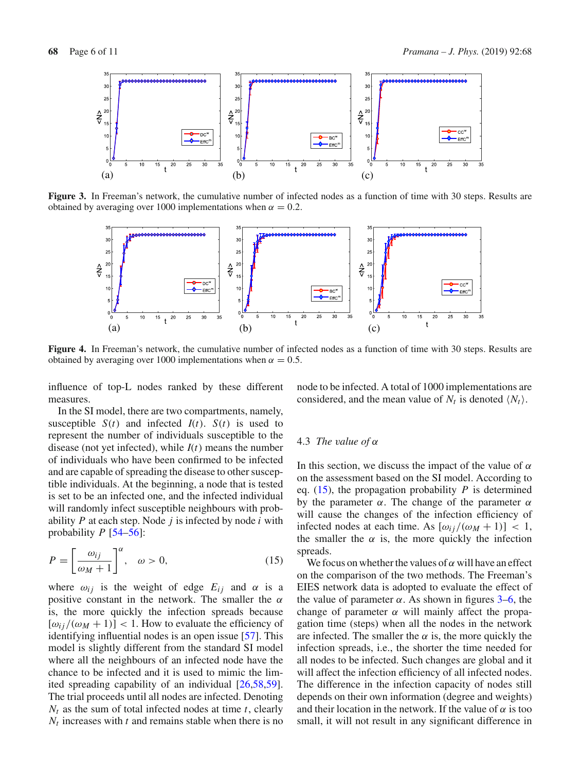

**Figure 3.** In Freeman's network, the cumulative number of infected nodes as a function of time with 30 steps. Results are obtained by averaging over 1000 implementations when  $\alpha = 0.2$ .

<span id="page-5-1"></span>

**Figure 4.** In Freeman's network, the cumulative number of infected nodes as a function of time with 30 steps. Results are obtained by averaging over 1000 implementations when  $\alpha = 0.5$ .

influence of top-L nodes ranked by these different measures.

In the SI model, there are two compartments, namely, susceptible  $S(t)$  and infected  $I(t)$ .  $S(t)$  is used to represent the number of individuals susceptible to the disease (not yet infected), while *I*(*t*) means the number of individuals who have been confirmed to be infected and are capable of spreading the disease to other susceptible individuals. At the beginning, a node that is tested is set to be an infected one, and the infected individual will randomly infect susceptible neighbours with probability *P* at each step. Node *j* is infected by node *i* with probability  $P$  [\[54](#page-10-33)[–56\]](#page-10-34):

<span id="page-5-0"></span>
$$
P = \left[\frac{\omega_{ij}}{\omega_M + 1}\right]^\alpha, \quad \omega > 0,
$$
\n(15)

where  $\omega_{ij}$  is the weight of edge  $E_{ij}$  and  $\alpha$  is a positive constant in the network. The smaller the  $\alpha$ is, the more quickly the infection spreads because  $[\omega_{ii}/(\omega_M + 1)]$  < 1. How to evaluate the efficiency of identifying influential nodes is an open issue [\[57\]](#page-10-35). This model is slightly different from the standard SI model where all the neighbours of an infected node have the chance to be infected and it is used to mimic the limited spreading capability of an individual [\[26](#page-10-8)[,58](#page-10-36)[,59](#page-10-37)]. The trial proceeds until all nodes are infected. Denoting *Nt* as the sum of total infected nodes at time *t*, clearly  $N_t$  increases with  $t$  and remains stable when there is no node to be infected. A total of 1000 implementations are considered, and the mean value of  $N_t$  is denoted  $\langle N_t \rangle$ .

#### 4.3 *The value of* α

In this section, we discuss the impact of the value of  $\alpha$ on the assessment based on the SI model. According to eq. [\(15\)](#page-5-0), the propagation probability *P* is determined by the parameter  $\alpha$ . The change of the parameter  $\alpha$ will cause the changes of the infection efficiency of infected nodes at each time. As  $[\omega_{ij}/(\omega_M + 1)] < 1$ , the smaller the  $\alpha$  is, the more quickly the infection spreads.

We focus on whether the values of  $\alpha$  will have an effect on the comparison of the two methods. The Freeman's EIES network data is adopted to evaluate the effect of the value of parameter  $\alpha$ . As shown in figures [3](#page-5-1)[–6,](#page-6-0) the change of parameter  $\alpha$  will mainly affect the propagation time (steps) when all the nodes in the network are infected. The smaller the  $\alpha$  is, the more quickly the infection spreads, i.e., the shorter the time needed for all nodes to be infected. Such changes are global and it will affect the infection efficiency of all infected nodes. The difference in the infection capacity of nodes still depends on their own information (degree and weights) and their location in the network. If the value of  $\alpha$  is too small, it will not result in any significant difference in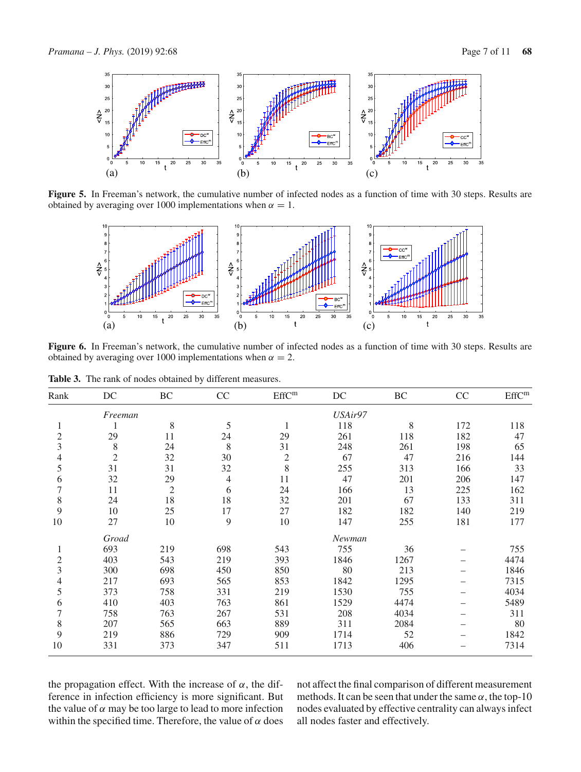

**Figure 5.** In Freeman's network, the cumulative number of infected nodes as a function of time with 30 steps. Results are obtained by averaging over 1000 implementations when  $\alpha = 1$ .



<span id="page-6-0"></span>**Figure 6.** In Freeman's network, the cumulative number of infected nodes as a function of time with 30 steps. Results are obtained by averaging over 1000 implementations when  $\alpha = 2$ .

**Table 3.** The rank of nodes obtained by different measures.

<span id="page-6-1"></span>

| Rank           | DC         | BC             | CC  | $\rm{EffC^{m}}$ | DC      | BC   | CC  | EffC <sup>m</sup> |
|----------------|------------|----------------|-----|-----------------|---------|------|-----|-------------------|
|                | Freeman    |                |     |                 | USAir97 |      |     |                   |
|                |            | 8              | 5   |                 | 118     | 8    | 172 | 118               |
| $\overline{c}$ | 29         | 11             | 24  | 29              | 261     | 118  | 182 | 47                |
| 3              | 8          | 24             | 8   | 31              | 248     | 261  | 198 | 65                |
| 4              | $\sqrt{2}$ | 32             | 30  | $\overline{2}$  | 67      | 47   | 216 | 144               |
| 5              | 31         | 31             | 32  | 8               | 255     | 313  | 166 | 33                |
| 6              | 32         | 29             | 4   | 11              | 47      | 201  | 206 | 147               |
| 7              | 11         | $\overline{2}$ | 6   | 24              | 166     | 13   | 225 | 162               |
| 8              | 24         | 18             | 18  | 32              | 201     | 67   | 133 | 311               |
| 9              | 10         | 25             | 17  | 27              | 182     | 182  | 140 | 219               |
| 10             | 27         | 10             | 9   | 10              | 147     | 255  | 181 | 177               |
|                | Groad      |                |     | Newman          |         |      |     |                   |
| 1              | 693        | 219            | 698 | 543             | 755     | 36   |     | 755               |
| $\overline{c}$ | 403        | 543            | 219 | 393             | 1846    | 1267 |     | 4474              |
| 3              | 300        | 698            | 450 | 850             | 80      | 213  |     | 1846              |
| 4              | 217        | 693            | 565 | 853             | 1842    | 1295 |     | 7315              |
| 5              | 373        | 758            | 331 | 219             | 1530    | 755  |     | 4034              |
| 6              | 410        | 403            | 763 | 861             | 1529    | 4474 |     | 5489              |
| 7              | 758        | 763            | 267 | 531             | 208     | 4034 |     | 311               |
| $8\,$          | 207        | 565            | 663 | 889             | 311     | 2084 |     | 80                |
| 9              | 219        | 886            | 729 | 909             | 1714    | 52   |     | 1842              |
| 10             | 331        | 373            | 347 | 511             | 1713    | 406  |     | 7314              |
|                |            |                |     |                 |         |      |     |                   |

the propagation effect. With the increase of  $\alpha$ , the difference in infection efficiency is more significant. But the value of  $\alpha$  may be too large to lead to more infection within the specified time. Therefore, the value of  $\alpha$  does not affect the final comparison of different measurement methods. It can be seen that under the same  $\alpha$ , the top-10 nodes evaluated by effective centrality can always infect all nodes faster and effectively.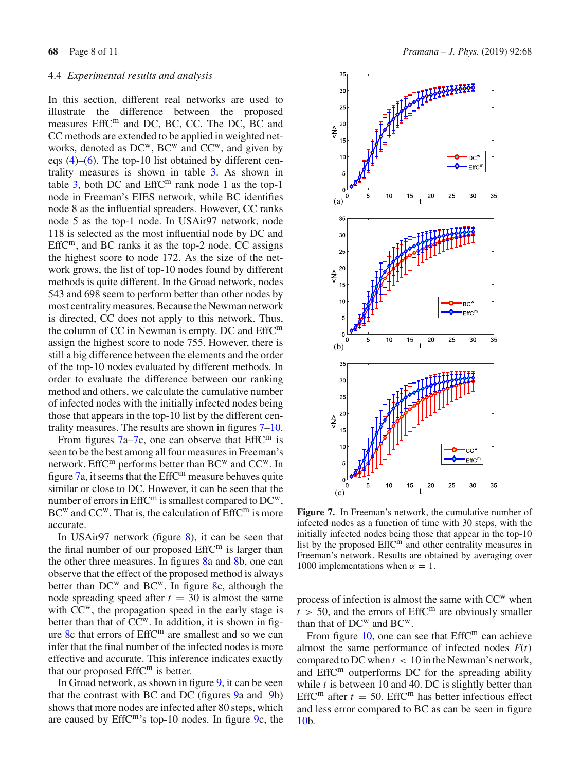## 4.4 *Experimental results and analysis*

In this section, different real networks are used to illustrate the difference between the proposed measures EffC<sup>m</sup> and DC, BC, CC. The DC, BC and CC methods are extended to be applied in weighted networks, denoted as DC<sup>w</sup>, BC<sup>w</sup> and CC<sup>w</sup>, and given by eqs  $(4)$ – $(6)$ . The top-10 list obtained by different centrality measures is shown in table [3.](#page-6-1) As shown in table  $3$ , both DC and EffC<sup>m</sup> rank node 1 as the top-1 node in Freeman's EIES network, while BC identifies node 8 as the influential spreaders. However, CC ranks node 5 as the top-1 node. In USAir97 network, node 118 is selected as the most influential node by DC and  $EffC<sup>m</sup>$ , and BC ranks it as the top-2 node. CC assigns the highest score to node 172. As the size of the network grows, the list of top-10 nodes found by different methods is quite different. In the Groad network, nodes 543 and 698 seem to perform better than other nodes by most centrality measures. Because the Newman network is directed, CC does not apply to this network. Thus, the column of CC in Newman is empty. DC and EffC<sup>m</sup> assign the highest score to node 755. However, there is still a big difference between the elements and the order of the top-10 nodes evaluated by different methods. In order to evaluate the difference between our ranking method and others, we calculate the cumulative number of infected nodes with the initially infected nodes being those that appears in the top-10 list by the different centrality measures. The results are shown in figures [7–](#page-7-0)[10.](#page-9-4)

From figures  $7a-7c$ , one can observe that EffC<sup>m</sup> is seen to be the best among all four measures in Freeman's network. EffC<sup>m</sup> performs better than BC<sup>w</sup> and CC<sup>w</sup>. In figure  $7a$ , it seems that the EffC<sup>m</sup> measure behaves quite similar or close to DC. However, it can be seen that the number of errors in EffC<sup>m</sup> is smallest compared to DC<sup>w</sup>,  $BC<sup>w</sup>$  and  $CC<sup>w</sup>$ . That is, the calculation of  $EffC<sup>m</sup>$  is more accurate.

In USAir97 network (figure [8\)](#page-8-0), it can be seen that the final number of our proposed  $EffC<sup>m</sup>$  is larger than the other three measures. In figures [8a](#page-8-0) and [8b](#page-8-0), one can observe that the effect of the proposed method is always better than  $DC^w$  and  $BC^w$ . In figure [8c](#page-8-0), although the node spreading speed after  $t = 30$  is almost the same with CC<sup>w</sup>, the propagation speed in the early stage is better than that of CC<sup>w</sup>. In addition, it is shown in fig-ure [8c](#page-8-0) that errors of EffC<sup>m</sup> are smallest and so we can infer that the final number of the infected nodes is more effective and accurate. This inference indicates exactly that our proposed EffC<sup>m</sup> is better.

In Groad network, as shown in figure [9,](#page-8-1) it can be seen that the contrast with BC and DC (figures [9a](#page-8-1) and [9b](#page-8-1)) shows that more nodes are infected after 80 steps, which are caused by EffCm's top-10 nodes. In figure [9c](#page-8-1), the



<span id="page-7-0"></span>**Figure 7.** In Freeman's network, the cumulative number of infected nodes as a function of time with 30 steps, with the initially infected nodes being those that appear in the top-10 list by the proposed EffC<sup>m</sup> and other centrality measures in Freeman's network. Results are obtained by averaging over 1000 implementations when  $\alpha = 1$ .

process of infection is almost the same with  $CC<sup>w</sup>$  when  $t > 50$ , and the errors of EffC<sup>m</sup> are obviously smaller than that of  $DC^w$  and  $BC^w$ .

From figure  $10$ , one can see that EffC<sup>m</sup> can achieve almost the same performance of infected nodes  $F(t)$ compared to DC when  $t < 10$  in the Newman's network, and EffC<sup>m</sup> outperforms DC for the spreading ability while *t* is between 10 and 40. DC is slightly better than EffC<sup>m</sup> after  $t = 50$ . EffC<sup>m</sup> has better infectious effect and less error compared to BC as can be seen in figure [10b](#page-9-4).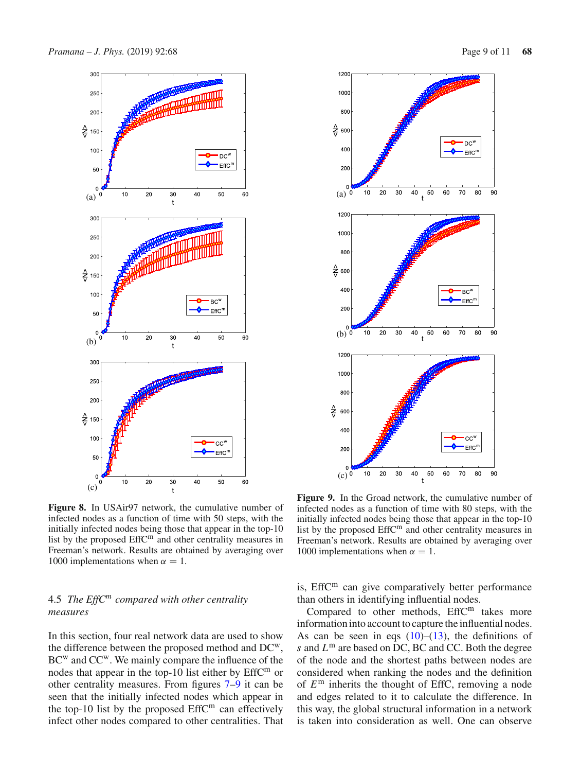

<span id="page-8-0"></span>**Figure 8.** In USAir97 network, the cumulative number of infected nodes as a function of time with 50 steps, with the initially infected nodes being those that appear in the top-10 list by the proposed EffC<sup>m</sup> and other centrality measures in Freeman's network. Results are obtained by averaging over 1000 implementations when  $\alpha = 1$ .

# 4.5 *The EffC<sup>m</sup> compared with other centrality measures*

In this section, four real network data are used to show the difference between the proposed method and DCw, BC<sup>w</sup> and CC<sup>w</sup>. We mainly compare the influence of the nodes that appear in the top-10 list either by EffC<sup>m</sup> or other centrality measures. From figures [7](#page-7-0)[–9](#page-8-1) it can be seen that the initially infected nodes which appear in the top-10 list by the proposed  $EffC<sup>m</sup>$  can effectively infect other nodes compared to other centralities. That





<span id="page-8-1"></span>**Figure 9.** In the Groad network, the cumulative number of infected nodes as a function of time with 80 steps, with the initially infected nodes being those that appear in the top-10 list by the proposed  $EffC<sup>m</sup>$  and other centrality measures in Freeman's network. Results are obtained by averaging over 1000 implementations when  $\alpha = 1$ .

is, EffC<sup>m</sup> can give comparatively better performance than others in identifying influential nodes.

Compared to other methods, EffC<sup>m</sup> takes more information into account to capture the influential nodes. As can be seen in eqs  $(10)$ – $(13)$ , the definitions of *s* and *L*<sup>m</sup> are based on DC, BC and CC. Both the degree of the node and the shortest paths between nodes are considered when ranking the nodes and the definition of *E*<sup>m</sup> inherits the thought of EffC, removing a node and edges related to it to calculate the difference. In this way, the global structural information in a network is taken into consideration as well. One can observe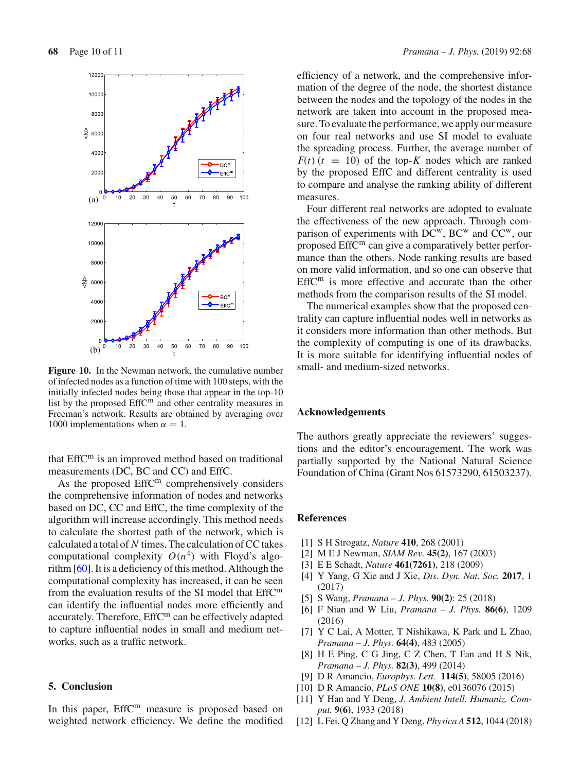

<span id="page-9-4"></span>**Figure 10.** In the Newman network, the cumulative number of infected nodes as a function of time with 100 steps, with the initially infected nodes being those that appear in the top-10 list by the proposed EffC<sup>m</sup> and other centrality measures in Freeman's network. Results are obtained by averaging over 1000 implementations when  $\alpha = 1$ .

that  $EffC<sup>m</sup>$  is an improved method based on traditional measurements (DC, BC and CC) and EffC.

As the proposed EffC<sup>m</sup> comprehensively considers the comprehensive information of nodes and networks based on DC, CC and EffC, the time complexity of the algorithm will increase accordingly. This method needs to calculate the shortest path of the network, which is calculated a total of *N* times. The calculation of CC takes computational complexity  $O(n^4)$  with Floyd's algorithm [\[60\]](#page-10-38). It is a deficiency of this method. Although the computational complexity has increased, it can be seen from the evaluation results of the SI model that EffC<sup>m</sup> can identify the influential nodes more efficiently and accurately. Therefore, EffC<sup>m</sup> can be effectively adapted to capture influential nodes in small and medium networks, such as a traffic network.

## <span id="page-9-3"></span>**5. Conclusion**

In this paper,  $EffC<sup>m</sup>$  measure is proposed based on weighted network efficiency. We define the modified efficiency of a network, and the comprehensive information of the degree of the node, the shortest distance between the nodes and the topology of the nodes in the network are taken into account in the proposed measure. To evaluate the performance, we apply our measure on four real networks and use SI model to evaluate the spreading process. Further, the average number of  $F(t)$  ( $t = 10$ ) of the top-*K* nodes which are ranked by the proposed EffC and different centrality is used to compare and analyse the ranking ability of different measures.

Four different real networks are adopted to evaluate the effectiveness of the new approach. Through comparison of experiments with  $\overline{DC}^w$ ,  $\overline{BC}^w$  and  $\overline{CC}^w$ , our proposed  $EffC<sup>m</sup>$  can give a comparatively better performance than the others. Node ranking results are based on more valid information, and so one can observe that  $EffC<sup>m</sup>$  is more effective and accurate than the other methods from the comparison results of the SI model.

The numerical examples show that the proposed centrality can capture influential nodes well in networks as it considers more information than other methods. But the complexity of computing is one of its drawbacks. It is more suitable for identifying influential nodes of small- and medium-sized networks.

#### **Acknowledgements**

The authors greatly appreciate the reviewers' suggestions and the editor's encouragement. The work was partially supported by the National Natural Science Foundation of China (Grant Nos 61573290, 61503237).

#### **References**

- <span id="page-9-0"></span>[1] S H Strogatz, *Nature* **410**, 268 (2001)
- [2] M E J Newman, *SIAM Rev.* **45(2)**, 167 (2003)
- <span id="page-9-2"></span>[3] E E Schadt, *Nature* **461(7261)**, 218 (2009)
- [4] Y Yang, G Xie and J Xie, *Dis. Dyn. Nat. Soc.* **2017**, 1 (2017)
- [5] S Wang, *Pramana J. Phys.* **90(2)**: 25 (2018)
- [6] F Nian and W Liu, *Pramana J. Phys.* **86(6)**, 1209 (2016)
- [7] Y C Lai, A Motter, T Nishikawa, K Park and L Zhao, *Pramana – J. Phys.* **64(4)**, 483 (2005)
- [8] H E Ping, C G Jing, C Z Chen, T Fan and H S Nik, *Pramana* – *J. Phys.* **82(3)**, 499 (2014)
- [9] D R Amancio, *Europhys. Lett.* **114(5)**, 58005 (2016)
- [10] D R Amancio, *PLoS ONE* **10(8)**, e0136076 (2015)
- [11] Y Han and Y Deng, *J. Ambient Intell. Humaniz. Comput.* **9(6)**, 1933 (2018)
- <span id="page-9-1"></span>[12] L Fei, Q Zhang and Y Deng, *Physica A* **512**, 1044 (2018)